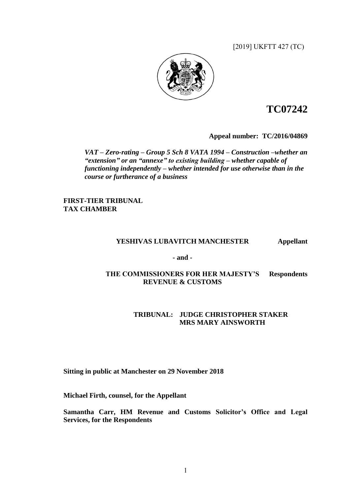[2019] UKFTT 427 (TC)



# **TC07242**

**Appeal number:TC/2016/04869**

*VAT – Zero-rating – Group 5 Sch 8 VATA 1994 – Construction –whether an "extension" or an "annexe" to existing building – whether capable of functioning independently – whether intended for use otherwise than in the course or furtherance of a business*

**FIRST-TIER TRIBUNAL TAX CHAMBER**

## **YESHIVAS LUBAVITCH MANCHESTER Appellant**

**- and -**

## **THE COMMISSIONERS FOR HER MAJESTY'S Respondents REVENUE & CUSTOMS**

## **TRIBUNAL: JUDGE CHRISTOPHER STAKER MRS MARY AINSWORTH**

# **Sitting in public at Manchester on 29 November 2018**

**Michael Firth, counsel, for the Appellant**

**Samantha Carr, HM Revenue and Customs Solicitor's Office and Legal Services, for the Respondents**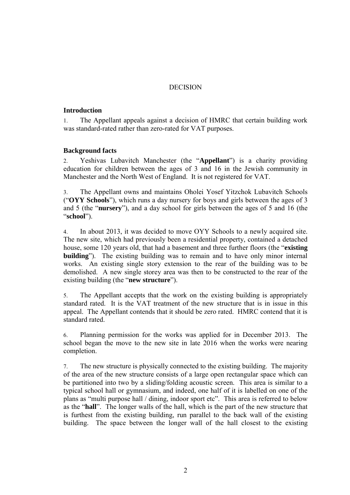# DECISION

## **Introduction**

1. The Appellant appeals against a decision of HMRC that certain building work was standard-rated rather than zero-rated for VAT purposes.

## **Background facts**

2. Yeshivas Lubavitch Manchester (the "**Appellant**") is a charity providing education for children between the ages of 3 and 16 in the Jewish community in Manchester and the North West of England. It is not registered for VAT.

3. The Appellant owns and maintains Oholei Yosef Yitzchok Lubavitch Schools ("**OYY Schools**"), which runs a day nursery for boys and girls between the ages of 3 and 5 (the "**nursery**"), and a day school for girls between the ages of 5 and 16 (the "**school**").

4. In about 2013, it was decided to move OYY Schools to a newly acquired site. The new site, which had previously been a residential property, contained a detached house, some 120 years old, that had a basement and three further floors (the "**existing building**"). The existing building was to remain and to have only minor internal works. An existing single story extension to the rear of the building was to be demolished. A new single storey area was then to be constructed to the rear of the existing building (the "**new structure**").

5. The Appellant accepts that the work on the existing building is appropriately standard rated. It is the VAT treatment of the new structure that is in issue in this appeal. The Appellant contends that it should be zero rated. HMRC contend that it is standard rated.

6. Planning permission for the works was applied for in December 2013. The school began the move to the new site in late 2016 when the works were nearing completion.

7. The new structure is physically connected to the existing building. The majority of the area of the new structure consists of a large open rectangular space which can be partitioned into two by a sliding/folding acoustic screen. This area is similar to a typical school hall or gymnasium, and indeed, one half of it is labelled on one of the plans as "multi purpose hall / dining, indoor sport etc". This area is referred to below as the "**hall**". The longer walls of the hall, which is the part of the new structure that is furthest from the existing building, run parallel to the back wall of the existing building. The space between the longer wall of the hall closest to the existing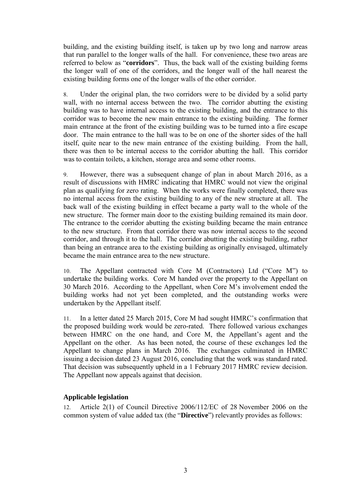building, and the existing building itself, is taken up by two long and narrow areas that run parallel to the longer walls of the hall. For convenience, these two areas are referred to below as "**corridors**". Thus, the back wall of the existing building forms the longer wall of one of the corridors, and the longer wall of the hall nearest the existing building forms one of the longer walls of the other corridor.

8. Under the original plan, the two corridors were to be divided by a solid party wall, with no internal access between the two. The corridor abutting the existing building was to have internal access to the existing building, and the entrance to this corridor was to become the new main entrance to the existing building. The former main entrance at the front of the existing building was to be turned into a fire escape door. The main entrance to the hall was to be on one of the shorter sides of the hall itself, quite near to the new main entrance of the existing building. From the hall, there was then to be internal access to the corridor abutting the hall. This corridor was to contain toilets, a kitchen, storage area and some other rooms.

9. However, there was a subsequent change of plan in about March 2016, as a result of discussions with HMRC indicating that HMRC would not view the original plan as qualifying for zero rating. When the works were finally completed, there was no internal access from the existing building to any of the new structure at all. The back wall of the existing building in effect became a party wall to the whole of the new structure. The former main door to the existing building remained its main door. The entrance to the corridor abutting the existing building became the main entrance to the new structure. From that corridor there was now internal access to the second corridor, and through it to the hall. The corridor abutting the existing building, rather than being an entrance area to the existing building as originally envisaged, ultimately became the main entrance area to the new structure.

10. The Appellant contracted with Core M (Contractors) Ltd ("Core M") to undertake the building works. Core M handed over the property to the Appellant on 30 March 2016. According to the Appellant, when Core M's involvement ended the building works had not yet been completed, and the outstanding works were undertaken by the Appellant itself.

11. In a letter dated 25 March 2015, Core M had sought HMRC's confirmation that the proposed building work would be zero-rated. There followed various exchanges between HMRC on the one hand, and Core M, the Appellant's agent and the Appellant on the other. As has been noted, the course of these exchanges led the Appellant to change plans in March 2016. The exchanges culminated in HMRC issuing a decision dated 23 August 2016, concluding that the work was standard rated. That decision was subsequently upheld in a 1 February 2017 HMRC review decision. The Appellant now appeals against that decision.

# **Applicable legislation**

12. Article 2(1) of Council Directive 2006/112/EC of 28 November 2006 on the common system of value added tax (the "**Directive**") relevantly provides as follows: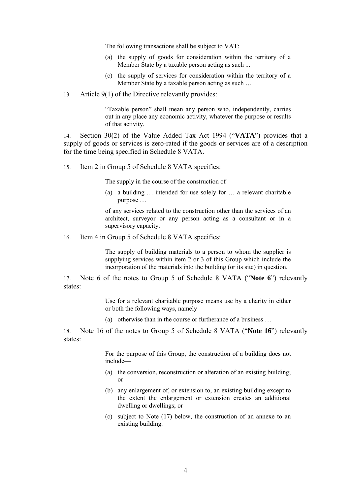The following transactions shall be subject to VAT:

- (a) the supply of goods for consideration within the territory of a Member State by a taxable person acting as such ...
- (c) the supply of services for consideration within the territory of a Member State by a taxable person acting as such …
- 13. Article 9(1) of the Directive relevantly provides:

"Taxable person" shall mean any person who, independently, carries out in any place any economic activity, whatever the purpose or results of that activity.

14. Section 30(2) of the Value Added Tax Act 1994 ("**VATA**") provides that a supply of goods or services is zero-rated if the goods or services are of a description for the time being specified in Schedule 8 VATA.

15. Item 2 in Group 5 of Schedule 8 VATA specifies:

The supply in the course of the construction of—

(a) a building … intended for use solely for … a relevant charitable purpose …

of any services related to the construction other than the services of an architect, surveyor or any person acting as a consultant or in a supervisory capacity.

16. Item 4 in Group 5 of Schedule 8 VATA specifies:

The supply of building materials to a person to whom the supplier is supplying services within item 2 or 3 of this Group which include the incorporation of the materials into the building (or its site) in question.

17. Note 6 of the notes to Group 5 of Schedule 8 VATA ("**Note 6**") relevantly states:

> Use for a relevant charitable purpose means use by a charity in either or both the following ways, namely—

(a) otherwise than in the course or furtherance of a business …

18. Note 16 of the notes to Group 5 of Schedule 8 VATA ("**Note 16**") relevantly states:

> For the purpose of this Group, the construction of a building does not include—

- (a) the conversion, reconstruction or alteration of an existing building; or
- (b) any enlargement of, or extension to, an existing building except to the extent the enlargement or extension creates an additional dwelling or dwellings; or
- (c) subject to Note (17) below, the construction of an annexe to an existing building.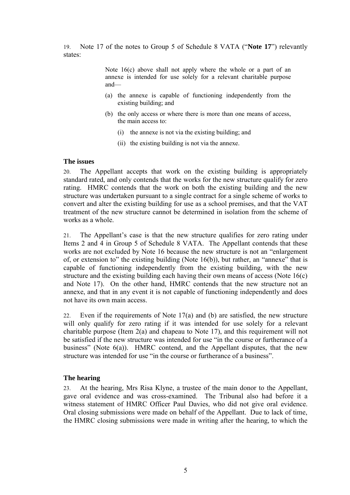19. Note 17 of the notes to Group 5 of Schedule 8 VATA ("**Note 17**") relevantly states:

> Note 16(c) above shall not apply where the whole or a part of an annexe is intended for use solely for a relevant charitable purpose and—

- (a) the annexe is capable of functioning independently from the existing building; and
- (b) the only access or where there is more than one means of access, the main access to:
	- (i) the annexe is not via the existing building; and
	- (ii) the existing building is not via the annexe.

## **The issues**

20. The Appellant accepts that work on the existing building is appropriately standard rated, and only contends that the works for the new structure qualify for zero rating. HMRC contends that the work on both the existing building and the new structure was undertaken pursuant to a single contract for a single scheme of works to convert and alter the existing building for use as a school premises, and that the VAT treatment of the new structure cannot be determined in isolation from the scheme of works as a whole.

21. The Appellant's case is that the new structure qualifies for zero rating under Items 2 and 4 in Group 5 of Schedule 8 VATA. The Appellant contends that these works are not excluded by Note 16 because the new structure is not an "enlargement of, or extension to" the existing building (Note 16(b)), but rather, an "annexe" that is capable of functioning independently from the existing building, with the new structure and the existing building each having their own means of access (Note 16(c) and Note 17). On the other hand, HMRC contends that the new structure not an annexe, and that in any event it is not capable of functioning independently and does not have its own main access.

22. Even if the requirements of Note 17(a) and (b) are satisfied, the new structure will only qualify for zero rating if it was intended for use solely for a relevant charitable purpose (Item 2(a) and chapeau to Note 17), and this requirement will not be satisfied if the new structure was intended for use "in the course or furtherance of a business" (Note 6(a)). HMRC contend, and the Appellant disputes, that the new structure was intended for use "in the course or furtherance of a business".

## **The hearing**

23. At the hearing, Mrs Risa Klyne, a trustee of the main donor to the Appellant, gave oral evidence and was cross-examined. The Tribunal also had before it a witness statement of HMRC Officer Paul Davies, who did not give oral evidence. Oral closing submissions were made on behalf of the Appellant. Due to lack of time, the HMRC closing submissions were made in writing after the hearing, to which the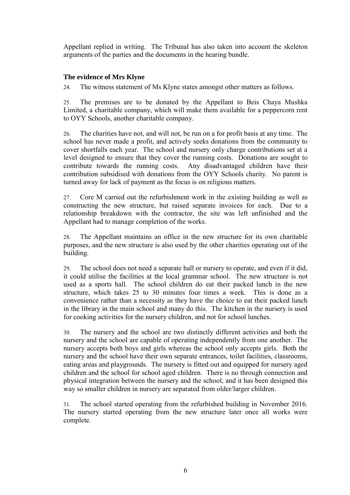Appellant replied in writing. The Tribunal has also taken into account the skeleton arguments of the parties and the documents in the hearing bundle.

## **The evidence of Mrs Klyne**

24. The witness statement of Ms Klyne states amongst other matters as follows.

25. The premises are to be donated by the Appellant to Beis Chaya Mushka Limited, a charitable company, which will make them available for a peppercorn rent to OYY Schools, another charitable company.

26. The charities have not, and will not, be run on a for profit basis at any time. The school has never made a profit, and actively seeks donations from the community to cover shortfalls each year. The school and nursery only charge contributions set at a level designed to ensure that they cover the running costs. Donations are sought to contribute towards the running costs. Any disadvantaged children have their contribution subsidised with donations from the OYY Schools charity. No parent is turned away for lack of payment as the focus is on religious matters.

27. Core M carried out the refurbishment work in the existing building as well as constructing the new structure, but raised separate invoices for each. Due to a relationship breakdown with the contractor, the site was left unfinished and the Appellant had to manage completion of the works.

28. The Appellant maintains an office in the new structure for its own charitable purposes, and the new structure is also used by the other charities operating out of the building.

29. The school does not need a separate hall or nursery to operate, and even if it did, it could utilise the facilities at the local grammar school. The new structure is not used as a sports hall. The school children do eat their packed lunch in the new structure, which takes 25 to 30 minutes four times a week. This is done as a convenience rather than a necessity as they have the choice to eat their packed lunch in the library in the main school and many do this. The kitchen in the nursery is used for cooking activities for the nursery children, and not for school lunches.

30. The nursery and the school are two distinctly different activities and both the nursery and the school are capable of operating independently from one another. The nursery accepts both boys and girls whereas the school only accepts girls. Both the nursery and the school have their own separate entrances, toilet facilities, classrooms, eating areas and playgrounds. The nursery is fitted out and equipped for nursery aged children and the school for school aged children. There is no through connection and physical integration between the nursery and the school, and it has been designed this way so smaller children in nursery are separated from older/larger children.

31. The school started operating from the refurbished building in November 2016. The nursery started operating from the new structure later once all works were complete.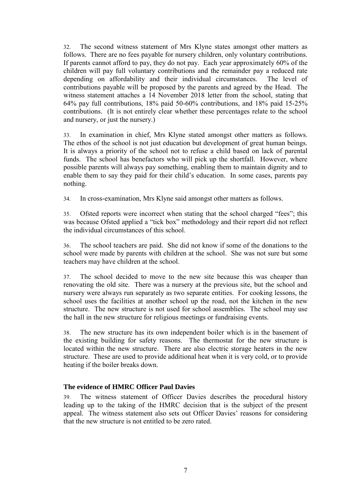32. The second witness statement of Mrs Klyne states amongst other matters as follows. There are no fees payable for nursery children, only voluntary contributions. If parents cannot afford to pay, they do not pay. Each year approximately 60% of the children will pay full voluntary contributions and the remainder pay a reduced rate depending on affordability and their individual circumstances. The level of contributions payable will be proposed by the parents and agreed by the Head. The witness statement attaches a 14 November 2018 letter from the school, stating that 64% pay full contributions, 18% paid 50-60% contributions, and 18% paid 15-25% contributions. (It is not entirely clear whether these percentages relate to the school and nursery, or just the nursery.)

33. In examination in chief, Mrs Klyne stated amongst other matters as follows. The ethos of the school is not just education but development of great human beings. It is always a priority of the school not to refuse a child based on lack of parental funds. The school has benefactors who will pick up the shortfall. However, where possible parents will always pay something, enabling them to maintain dignity and to enable them to say they paid for their child's education. In some cases, parents pay nothing.

34. In cross-examination, Mrs Klyne said amongst other matters as follows.

35. Ofsted reports were incorrect when stating that the school charged "fees"; this was because Ofsted applied a "tick box" methodology and their report did not reflect the individual circumstances of this school.

36. The school teachers are paid. She did not know if some of the donations to the school were made by parents with children at the school. She was not sure but some teachers may have children at the school.

37. The school decided to move to the new site because this was cheaper than renovating the old site. There was a nursery at the previous site, but the school and nursery were always run separately as two separate entities. For cooking lessons, the school uses the facilities at another school up the road, not the kitchen in the new structure. The new structure is not used for school assemblies. The school may use the hall in the new structure for religious meetings or fundraising events.

38. The new structure has its own independent boiler which is in the basement of the existing building for safety reasons. The thermostat for the new structure is located within the new structure. There are also electric storage heaters in the new structure. These are used to provide additional heat when it is very cold, or to provide heating if the boiler breaks down.

# **The evidence of HMRC Officer Paul Davies**

39. The witness statement of Officer Davies describes the procedural history leading up to the taking of the HMRC decision that is the subject of the present appeal. The witness statement also sets out Officer Davies' reasons for considering that the new structure is not entitled to be zero rated.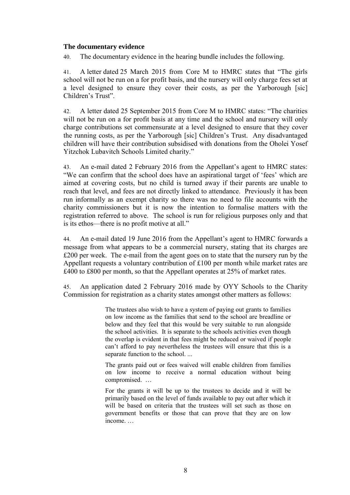#### **The documentary evidence**

40. The documentary evidence in the hearing bundle includes the following.

41. A letter dated 25 March 2015 from Core M to HMRC states that "The girls school will not be run on a for profit basis, and the nursery will only charge fees set at a level designed to ensure they cover their costs, as per the Yarborough [sic] Children's Trust".

42. A letter dated 25 September 2015 from Core M to HMRC states: "The charities will not be run on a for profit basis at any time and the school and nursery will only charge contributions set commensurate at a level designed to ensure that they cover the running costs, as per the Yarborough [sic] Children's Trust. Any disadvantaged children will have their contribution subsidised with donations from the Oholei Yosef Yitzchok Lubavitch Schools Limited charity."

43. An e-mail dated 2 February 2016 from the Appellant's agent to HMRC states: "We can confirm that the school does have an aspirational target of 'fees' which are aimed at covering costs, but no child is turned away if their parents are unable to reach that level, and fees are not directly linked to attendance. Previously it has been run informally as an exempt charity so there was no need to file accounts with the charity commissioners but it is now the intention to formalise matters with the registration referred to above. The school is run for religious purposes only and that is its ethos—there is no profit motive at all."

44. An e-mail dated 19 June 2016 from the Appellant's agent to HMRC forwards a message from what appears to be a commercial nursery, stating that its charges are £200 per week. The e-mail from the agent goes on to state that the nursery run by the Appellant requests a voluntary contribution of £100 per month while market rates are £400 to £800 per month, so that the Appellant operates at 25% of market rates.

45. An application dated 2 February 2016 made by OYY Schools to the Charity Commission for registration as a charity states amongst other matters as follows:

> The trustees also wish to have a system of paying out grants to families on low income as the families that send to the school are breadline or below and they feel that this would be very suitable to run alongside the school activities. It is separate to the schools activities even though the overlap is evident in that fees might be reduced or waived if people can't afford to pay nevertheless the trustees will ensure that this is a separate function to the school. ...

> The grants paid out or fees waived will enable children from families on low income to receive a normal education without being compromised. …

> For the grants it will be up to the trustees to decide and it will be primarily based on the level of funds available to pay out after which it will be based on criteria that the trustees will set such as those on government benefits or those that can prove that they are on low income. …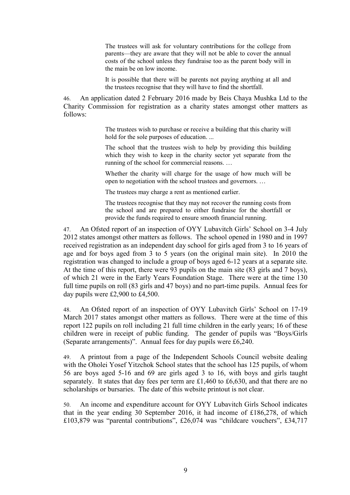The trustees will ask for voluntary contributions for the college from parents—they are aware that they will not be able to cover the annual costs of the school unless they fundraise too as the parent body will in the main be on low income.

It is possible that there will be parents not paying anything at all and the trustees recognise that they will have to find the shortfall.

46. An application dated 2 February 2016 made by Beis Chaya Mushka Ltd to the Charity Commission for registration as a charity states amongst other matters as follows:

> The trustees wish to purchase or receive a building that this charity will hold for the sole purposes of education. ...

> The school that the trustees wish to help by providing this building which they wish to keep in the charity sector yet separate from the running of the school for commercial reasons. …

> Whether the charity will charge for the usage of how much will be open to negotiation with the school trustees and governors. …

The trustees may charge a rent as mentioned earlier.

The trustees recognise that they may not recover the running costs from the school and are prepared to either fundraise for the shortfall or provide the funds required to ensure smooth financial running.

47. An Ofsted report of an inspection of OYY Lubavitch Girls' School on 3-4 July 2012 states amongst other matters as follows. The school opened in 1980 and in 1997 received registration as an independent day school for girls aged from 3 to 16 years of age and for boys aged from 3 to 5 years (on the original main site). In 2010 the registration was changed to include a group of boys aged 6-12 years at a separate site. At the time of this report, there were 93 pupils on the main site (83 girls and 7 boys), of which 21 were in the Early Years Foundation Stage. There were at the time 130 full time pupils on roll (83 girls and 47 boys) and no part-time pupils. Annual fees for day pupils were £2,900 to £4,500.

48. An Ofsted report of an inspection of OYY Lubavitch Girls' School on 17-19 March 2017 states amongst other matters as follows. There were at the time of this report 122 pupils on roll including 21 full time children in the early years; 16 of these children were in receipt of public funding. The gender of pupils was "Boys/Girls (Separate arrangements)". Annual fees for day pupils were £6,240.

49. A printout from a page of the Independent Schools Council website dealing with the Oholei Yosef Yitzchok School states that the school has 125 pupils, of whom 56 are boys aged 5-16 and 69 are girls aged 3 to 16, with boys and girls taught separately. It states that day fees per term are £1,460 to £6,630, and that there are no scholarships or bursaries. The date of this website printout is not clear.

50. An income and expenditure account for OYY Lubavitch Girls School indicates that in the year ending 30 September 2016, it had income of £186,278, of which £103,879 was "parental contributions", £26,074 was "childcare vouchers", £34,717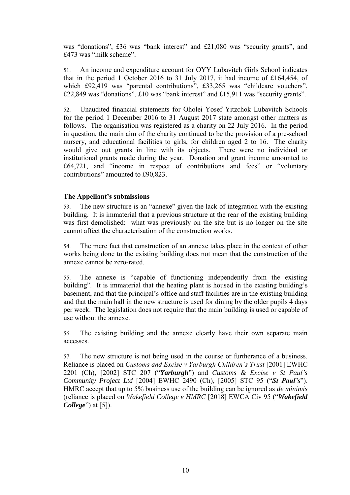was "donations", £36 was "bank interest" and £21,080 was "security grants", and £473 was "milk scheme".

51. An income and expenditure account for OYY Lubavitch Girls School indicates that in the period 1 October 2016 to 31 July 2017, it had income of £164,454, of which £92,419 was "parental contributions", £33,265 was "childcare vouchers", £22,849 was "donations", £10 was "bank interest" and £15,911 was "security grants".

52. Unaudited financial statements for Oholei Yosef Yitzchok Lubavitch Schools for the period 1 December 2016 to 31 August 2017 state amongst other matters as follows. The organisation was registered as a charity on 22 July 2016. In the period in question, the main aim of the charity continued to be the provision of a pre-school nursery, and educational facilities to girls, for children aged 2 to 16. The charity would give out grants in line with its objects. There were no individual or institutional grants made during the year. Donation and grant income amounted to £64,721, and "income in respect of contributions and fees" or "voluntary contributions" amounted to £90,823.

## **The Appellant's submissions**

53. The new structure is an "annexe" given the lack of integration with the existing building. It is immaterial that a previous structure at the rear of the existing building was first demolished: what was previously on the site but is no longer on the site cannot affect the characterisation of the construction works.

54. The mere fact that construction of an annexe takes place in the context of other works being done to the existing building does not mean that the construction of the annexe cannot be zero-rated.

55. The annexe is "capable of functioning independently from the existing building". It is immaterial that the heating plant is housed in the existing building's basement, and that the principal's office and staff facilities are in the existing building and that the main hall in the new structure is used for dining by the older pupils 4 days per week. The legislation does not require that the main building is used or capable of use without the annexe.

56. The existing building and the annexe clearly have their own separate main accesses.

57. The new structure is not being used in the course or furtherance of a business. Reliance is placed on *Customs and Excise v Yarburgh Children's Trust* [2001] EWHC 2201 (Ch), [2002] STC 207 ("*Yarburgh*") and *Customs & Excise v St Paul's Community Project Ltd* [2004] EWHC 2490 (Ch), [2005] STC 95 ("*St Paul's*"). HMRC accept that up to 5% business use of the building can be ignored as *de minimis* (reliance is placed on *Wakefield College v HMRC* [2018] EWCA Civ 95 ("*Wakefield College*") at [5]).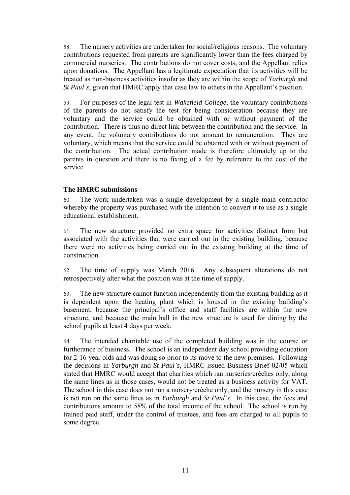58. The nursery activities are undertaken for social/religious reasons. The voluntary contributions requested from parents are significantly lower than the fees charged by commercial nurseries. The contributions do not cover costs, and the Appellant relies upon donations. The Appellant has a legitimate expectation that its activities will be treated as non-business activities insofar as they are within the scope of *Yarburgh* and *St Paul's*, given that HMRC apply that case law to others in the Appellant's position.

59. For purposes of the legal test in *Wakefield College*, the voluntary contributions of the parents do not satisfy the test for being consideration because they are voluntary and the service could be obtained with or without payment of the contribution. There is thus no direct link between the contribution and the service. In any event, the voluntary contributions do not amount to remuneration. They are voluntary, which means that the service could be obtained with or without payment of the contribution. The actual contribution made is therefore ultimately up to the parents in question and there is no fixing of a fee by reference to the cost of the service.

## **The HMRC submissions**

60. The work undertaken was a single development by a single main contractor whereby the property was purchased with the intention to convert it to use as a single educational establishment.

61. The new structure provided no extra space for activities distinct from but associated with the activities that were carried out in the existing building, because there were no activities being carried out in the existing building at the time of construction.

62. The time of supply was March 2016. Any subsequent alterations do not retrospectively alter what the position was at the time of supply.

63. The new structure cannot function independently from the existing building as it is dependent upon the heating plant which is housed in the existing building's basement, because the principal's office and staff facilities are within the new structure, and because the main hall in the new structure is used for dining by the school pupils at least 4 days per week.

64. The intended charitable use of the completed building was in the course or furtherance of business. The school is an independent day school providing education for 2-16 year olds and was doing so prior to its move to the new premises. Following the decisions in *Yarburgh* and *St Paul's*, HMRC issued Business Brief 02/05 which stated that HMRC would accept that charities which ran nurseries/crèches only, along the same lines as in those cases, would not be treated as a business activity for VAT. The school in this case does not run a nursery/crèche only, and the nursery in this case is not run on the same lines as in *Yarburgh* and *St Paul's*. In this case, the fees and contributions amount to 58% of the total income of the school. The school is run by trained paid staff, under the control of trustees, and fees are charged to all pupils to some degree.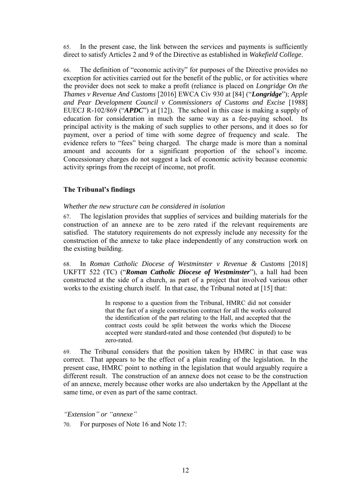65. In the present case, the link between the services and payments is sufficiently direct to satisfy Articles 2 and 9 of the Directive as established in *Wakefield College*.

66. The definition of "economic activity" for purposes of the Directive provides no exception for activities carried out for the benefit of the public, or for activities where the provider does not seek to make a profit (reliance is placed on *Longridge On the Thames v Revenue And Customs* [2016] EWCA Civ 930 at [84] ("*Longridge*"); *Apple and Pear Development Council v Commissioners of Customs and Excise* [1988] EUECJ R-102/869 ("*APDC*") at [12]). The school in this case is making a supply of education for consideration in much the same way as a fee-paying school. Its principal activity is the making of such supplies to other persons, and it does so for payment, over a period of time with some degree of frequency and scale. The evidence refers to "fees" being charged. The charge made is more than a nominal amount and accounts for a significant proportion of the school's income. Concessionary charges do not suggest a lack of economic activity because economic activity springs from the receipt of income, not profit.

## **The Tribunal's findings**

## *Whether the new structure can be considered in isolation*

67. The legislation provides that supplies of services and building materials for the construction of an annexe are to be zero rated if the relevant requirements are satisfied. The statutory requirements do not expressly include any necessity for the construction of the annexe to take place independently of any construction work on the existing building.

68. In *Roman Catholic Diocese of Westminster v Revenue & Customs* [2018] UKFTT 522 (TC) ("*Roman Catholic Diocese of Westminster*"), a hall had been constructed at the side of a church, as part of a project that involved various other works to the existing church itself. In that case, the Tribunal noted at [15] that:

> In response to a question from the Tribunal, HMRC did not consider that the fact of a single construction contract for all the works coloured the identification of the part relating to the Hall, and accepted that the contract costs could be split between the works which the Diocese accepted were standard-rated and those contended (but disputed) to be zero-rated.

69. The Tribunal considers that the position taken by HMRC in that case was correct. That appears to be the effect of a plain reading of the legislation. In the present case, HMRC point to nothing in the legislation that would arguably require a different result. The construction of an annexe does not cease to be the construction of an annexe, merely because other works are also undertaken by the Appellant at the same time, or even as part of the same contract.

*"Extension" or "annexe"*

70. For purposes of Note 16 and Note 17: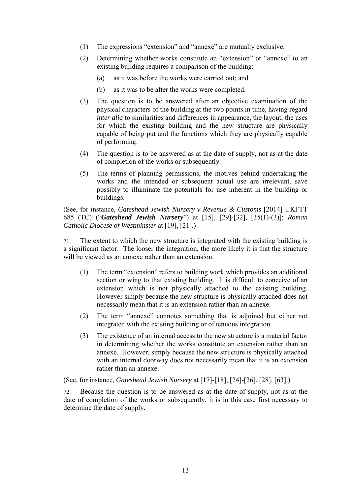- (1) The expressions "extension" and "annexe" are mutually exclusive.
- (2) Determining whether works constitute an "extension" or "annexe" to an existing building requires a comparison of the building:
	- (a) as it was before the works were carried out; and
	- (b) as it was to be after the works were completed.
- (3) The question is to be answered after an objective examination of the physical characters of the building at the two points in time, having regard *inter alia* to similarities and differences in appearance, the layout, the uses for which the existing building and the new structure are physically capable of being put and the functions which they are physically capable of performing.
- (4) The question is to be answered as at the date of supply, not as at the date of completion of the works or subsequently.
- (5) The terms of planning permissions, the motives behind undertaking the works and the intended or subsequent actual use are irrelevant, save possibly to illuminate the potentials for use inherent in the building or buildings.

(See, for instance, *Gateshead Jewish Nursery v Revenue & Customs* [2014] UKFTT 685 (TC) ("*Gateshead Jewish Nursery*") at [15], [29]-[32], [35(1)-(3)]; *Roman Catholic Diocese of Westminster* at [19], [21].)

71. The extent to which the new structure is integrated with the existing building is a significant factor. The looser the integration, the more likely it is that the structure will be viewed as an annexe rather than an extension.

- (1) The term "extension" refers to building work which provides an additional section or wing to that existing building. It is difficult to conceive of an extension which is not physically attached to the existing building. However simply because the new structure is physically attached does not necessarily mean that it is an extension rather than an annexe.
- (2) The term "annexe" connotes something that is adjoined but either not integrated with the existing building or of tenuous integration.
- (3) The existence of an internal access to the new structure is a material factor in determining whether the works constitute an extension rather than an annexe. However, simply because the new structure is physically attached with an internal doorway does not necessarily mean that it is an extension rather than an annexe.

(See, for instance, *Gateshead Jewish Nursery* at [17]-[18], [24]-[26], [28], [63].)

72. Because the question is to be answered as at the date of supply, not as at the date of completion of the works or subsequently, it is in this case first necessary to determine the date of supply.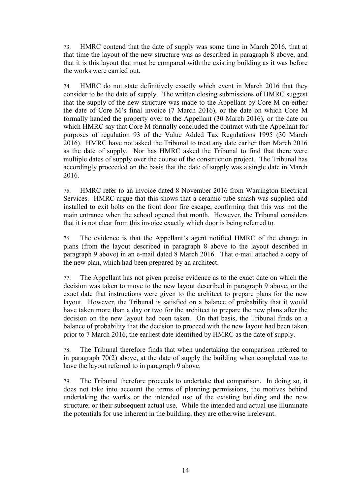73. HMRC contend that the date of supply was some time in March 2016, that at that time the layout of the new structure was as described in paragraph 8 above, and that it is this layout that must be compared with the existing building as it was before the works were carried out.

74. HMRC do not state definitively exactly which event in March 2016 that they consider to be the date of supply. The written closing submissions of HMRC suggest that the supply of the new structure was made to the Appellant by Core M on either the date of Core M's final invoice (7 March 2016), or the date on which Core M formally handed the property over to the Appellant (30 March 2016), or the date on which HMRC say that Core M formally concluded the contract with the Appellant for purposes of regulation 93 of the Value Added Tax Regulations 1995 (30 March 2016). HMRC have not asked the Tribunal to treat any date earlier than March 2016 as the date of supply. Nor has HMRC asked the Tribunal to find that there were multiple dates of supply over the course of the construction project. The Tribunal has accordingly proceeded on the basis that the date of supply was a single date in March 2016.

75. HMRC refer to an invoice dated 8 November 2016 from Warrington Electrical Services. HMRC argue that this shows that a ceramic tube smash was supplied and installed to exit bolts on the front door fire escape, confirming that this was not the main entrance when the school opened that month. However, the Tribunal considers that it is not clear from this invoice exactly which door is being referred to.

76. The evidence is that the Appellant's agent notified HMRC of the change in plans (from the layout described in paragraph 8 above to the layout described in paragraph 9 above) in an e-mail dated 8 March 2016. That e-mail attached a copy of the new plan, which had been prepared by an architect.

77. The Appellant has not given precise evidence as to the exact date on which the decision was taken to move to the new layout described in paragraph 9 above, or the exact date that instructions were given to the architect to prepare plans for the new layout. However, the Tribunal is satisfied on a balance of probability that it would have taken more than a day or two for the architect to prepare the new plans after the decision on the new layout had been taken. On that basis, the Tribunal finds on a balance of probability that the decision to proceed with the new layout had been taken prior to 7 March 2016, the earliest date identified by HMRC as the date of supply.

78. The Tribunal therefore finds that when undertaking the comparison referred to in paragraph 70(2) above, at the date of supply the building when completed was to have the layout referred to in paragraph 9 above.

79. The Tribunal therefore proceeds to undertake that comparison. In doing so, it does not take into account the terms of planning permissions, the motives behind undertaking the works or the intended use of the existing building and the new structure, or their subsequent actual use. While the intended and actual use illuminate the potentials for use inherent in the building, they are otherwise irrelevant.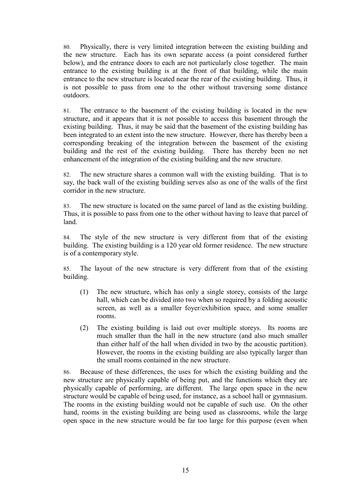80. Physically, there is very limited integration between the existing building and the new structure. Each has its own separate access (a point considered further below), and the entrance doors to each are not particularly close together. The main entrance to the existing building is at the front of that building, while the main entrance to the new structure is located near the rear of the existing building. Thus, it is not possible to pass from one to the other without traversing some distance outdoors.

81. The entrance to the basement of the existing building is located in the new structure, and it appears that it is not possible to access this basement through the existing building. Thus, it may be said that the basement of the existing building has been integrated to an extent into the new structure. However, there has thereby been a corresponding breaking of the integration between the basement of the existing building and the rest of the existing building. There has thereby been no net enhancement of the integration of the existing building and the new structure.

82. The new structure shares a common wall with the existing building. That is to say, the back wall of the existing building serves also as one of the walls of the first corridor in the new structure.

83. The new structure is located on the same parcel of land as the existing building. Thus, it is possible to pass from one to the other without having to leave that parcel of land.

84. The style of the new structure is very different from that of the existing building. The existing building is a 120 year old former residence. The new structure is of a contemporary style.

85. The layout of the new structure is very different from that of the existing building.

- (1) The new structure, which has only a single storey, consists of the large hall, which can be divided into two when so required by a folding acoustic screen, as well as a smaller foyer/exhibition space, and some smaller rooms.
- (2) The existing building is laid out over multiple storeys. Its rooms are much smaller than the hall in the new structure (and also much smaller than either half of the hall when divided in two by the acoustic partition). However, the rooms in the existing building are also typically larger than the small rooms contained in the new structure.

86. Because of these differences, the uses for which the existing building and the new structure are physically capable of being put, and the functions which they are physically capable of performing, are different. The large open space in the new structure would be capable of being used, for instance, as a school hall or gymnasium. The rooms in the existing building would not be capable of such use. On the other hand, rooms in the existing building are being used as classrooms, while the large open space in the new structure would be far too large for this purpose (even when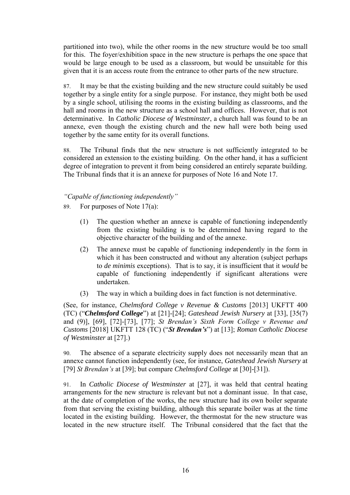partitioned into two), while the other rooms in the new structure would be too small for this. The foyer/exhibition space in the new structure is perhaps the one space that would be large enough to be used as a classroom, but would be unsuitable for this given that it is an access route from the entrance to other parts of the new structure.

87. It may be that the existing building and the new structure could suitably be used together by a single entity for a single purpose. For instance, they might both be used by a single school, utilising the rooms in the existing building as classrooms, and the hall and rooms in the new structure as a school hall and offices. However, that is not determinative. In *Catholic Diocese of Westminster*, a church hall was found to be an annexe, even though the existing church and the new hall were both being used together by the same entity for its overall functions.

88. The Tribunal finds that the new structure is not sufficiently integrated to be considered an extension to the existing building. On the other hand, it has a sufficient degree of integration to prevent it from being considered an entirely separate building. The Tribunal finds that it is an annexe for purposes of Note 16 and Note 17.

## *"Capable of functioning independently"*

- 89. For purposes of Note 17(a):
	- (1) The question whether an annexe is capable of functioning independently from the existing building is to be determined having regard to the objective character of the building and of the annexe.
	- (2) The annexe must be capable of functioning independently in the form in which it has been constructed and without any alteration (subject perhaps to *de minimis* exceptions). That is to say, it is insufficient that it *would* be capable of functioning independently if significant alterations were undertaken.
	- (3) The way in which a building does in fact function is not determinative.

(See, for instance, *Chelmsford College v Revenue & Customs* [2013] UKFTT 400 (TC) ("*Chelmsford College*") at [21]-[24]; *Gateshead Jewish Nursery* at [33], [35(7) and (9)], [69], [72]-[73], [77]; *St Brendan's Sixth Form College v Revenue and Customs* [2018] UKFTT 128 (TC) ("*St Brendan's*") at [13]; *Roman Catholic Diocese of Westminster* at [27].)

90. The absence of a separate electricity supply does not necessarily mean that an annexe cannot function independently (see, for instance, *Gateshead Jewish Nursery* at [79] *St Brendan's* at [39]; but compare *Chelmsford College* at [30]-[31]).

91. In *Catholic Diocese of Westminster* at [27], it was held that central heating arrangements for the new structure is relevant but not a dominant issue. In that case, at the date of completion of the works, the new structure had its own boiler separate from that serving the existing building, although this separate boiler was at the time located in the existing building. However, the thermostat for the new structure was located in the new structure itself. The Tribunal considered that the fact that the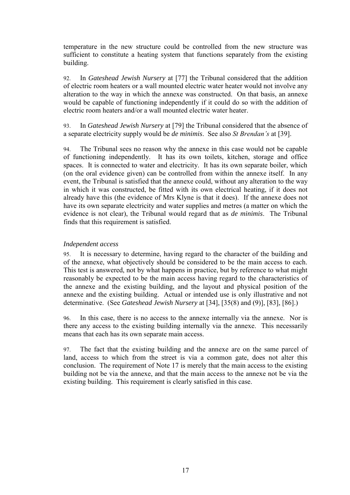temperature in the new structure could be controlled from the new structure was sufficient to constitute a heating system that functions separately from the existing building.

92. In *Gateshead Jewish Nursery* at [77] the Tribunal considered that the addition of electric room heaters or a wall mounted electric water heater would not involve any alteration to the way in which the annexe was constructed. On that basis, an annexe would be capable of functioning independently if it could do so with the addition of electric room heaters and/or a wall mounted electric water heater.

93. In *Gateshead Jewish Nursery* at [79] the Tribunal considered that the absence of a separate electricity supply would be *de minimis*. See also *St Brendan's* at [39].

94. The Tribunal sees no reason why the annexe in this case would not be capable of functioning independently. It has its own toilets, kitchen, storage and office spaces. It is connected to water and electricity. It has its own separate boiler, which (on the oral evidence given) can be controlled from within the annexe itself. In any event, the Tribunal is satisfied that the annexe could, without any alteration to the way in which it was constructed, be fitted with its own electrical heating, if it does not already have this (the evidence of Mrs Klyne is that it does). If the annexe does not have its own separate electricity and water supplies and metres (a matter on which the evidence is not clear), the Tribunal would regard that as *de minimis*. The Tribunal finds that this requirement is satisfied.

#### *Independent access*

95. It is necessary to determine, having regard to the character of the building and of the annexe, what objectively should be considered to be the main access to each. This test is answered, not by what happens in practice, but by reference to what might reasonably be expected to be the main access having regard to the characteristics of the annexe and the existing building, and the layout and physical position of the annexe and the existing building. Actual or intended use is only illustrative and not determinative. (See *Gateshead Jewish Nursery* at [34], [35(8) and (9)], [83], [86].)

96. In this case, there is no access to the annexe internally via the annexe. Nor is there any access to the existing building internally via the annexe. This necessarily means that each has its own separate main access.

97. The fact that the existing building and the annexe are on the same parcel of land, access to which from the street is via a common gate, does not alter this conclusion. The requirement of Note 17 is merely that the main access to the existing building not be via the annexe, and that the main access to the annexe not be via the existing building. This requirement is clearly satisfied in this case.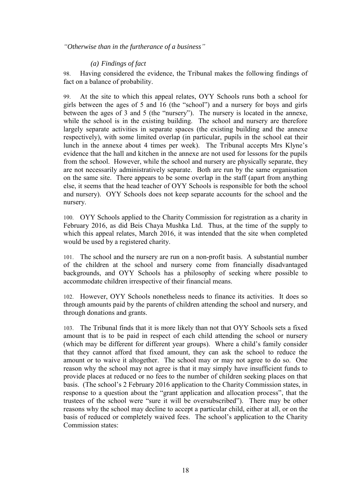*"Otherwise than in the furtherance of a business"*

## *(a) Findings of fact*

98. Having considered the evidence, the Tribunal makes the following findings of fact on a balance of probability.

99. At the site to which this appeal relates, OYY Schools runs both a school for girls between the ages of 5 and 16 (the "school") and a nursery for boys and girls between the ages of 3 and 5 (the "nursery"). The nursery is located in the annexe, while the school is in the existing building. The school and nursery are therefore largely separate activities in separate spaces (the existing building and the annexe respectively), with some limited overlap (in particular, pupils in the school eat their lunch in the annexe about 4 times per week). The Tribunal accepts Mrs Klyne's evidence that the hall and kitchen in the annexe are not used for lessons for the pupils from the school. However, while the school and nursery are physically separate, they are not necessarily administratively separate. Both are run by the same organisation on the same site. There appears to be some overlap in the staff (apart from anything else, it seems that the head teacher of OYY Schools is responsible for both the school and nursery). OYY Schools does not keep separate accounts for the school and the nursery.

100. OYY Schools applied to the Charity Commission for registration as a charity in February 2016, as did Beis Chaya Mushka Ltd. Thus, at the time of the supply to which this appeal relates, March 2016, it was intended that the site when completed would be used by a registered charity.

101. The school and the nursery are run on a non-profit basis. A substantial number of the children at the school and nursery come from financially disadvantaged backgrounds, and OYY Schools has a philosophy of seeking where possible to accommodate children irrespective of their financial means.

102. However, OYY Schools nonetheless needs to finance its activities. It does so through amounts paid by the parents of children attending the school and nursery, and through donations and grants.

103. The Tribunal finds that it is more likely than not that OYY Schools sets a fixed amount that is to be paid in respect of each child attending the school or nursery (which may be different for different year groups). Where a child's family consider that they cannot afford that fixed amount, they can ask the school to reduce the amount or to waive it altogether. The school may or may not agree to do so. One reason why the school may not agree is that it may simply have insufficient funds to provide places at reduced or no fees to the number of children seeking places on that basis. (The school's 2 February 2016 application to the Charity Commission states, in response to a question about the "grant application and allocation process", that the trustees of the school were "sure it will be oversubscribed"). There may be other reasons why the school may decline to accept a particular child, either at all, or on the basis of reduced or completely waived fees. The school's application to the Charity Commission states: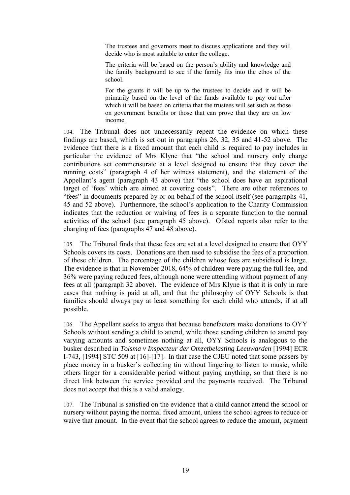The trustees and governors meet to discuss applications and they will decide who is most suitable to enter the college.

The criteria will be based on the person's ability and knowledge and the family background to see if the family fits into the ethos of the school.

For the grants it will be up to the trustees to decide and it will be primarily based on the level of the funds available to pay out after which it will be based on criteria that the trustees will set such as those on government benefits or those that can prove that they are on low income.

104. The Tribunal does not unnecessarily repeat the evidence on which these findings are based, which is set out in paragraphs 26, 32, 35 and 41-52 above. The evidence that there is a fixed amount that each child is required to pay includes in particular the evidence of Mrs Klyne that "the school and nursery only charge contributions set commensurate at a level designed to ensure that they cover the running costs" (paragraph 4 of her witness statement), and the statement of the Appellant's agent (paragraph 43 above) that "the school does have an aspirational target of 'fees' which are aimed at covering costs". There are other references to "fees" in documents prepared by or on behalf of the school itself (see paragraphs 41, 45 and 52 above). Furthermore, the school's application to the Charity Commission indicates that the reduction or waiving of fees is a separate function to the normal activities of the school (see paragraph 45 above). Ofsted reports also refer to the charging of fees (paragraphs 47 and 48 above).

105. The Tribunal finds that these fees are set at a level designed to ensure that OYY Schools covers its costs. Donations are then used to subsidise the fees of a proportion of these children. The percentage of the children whose fees are subsidised is large. The evidence is that in November 2018, 64% of children were paying the full fee, and 36% were paying reduced fees, although none were attending without payment of any fees at all (paragraph 32 above). The evidence of Mrs Klyne is that it is only in rare cases that nothing is paid at all, and that the philosophy of OYY Schools is that families should always pay at least something for each child who attends, if at all possible.

106. The Appellant seeks to argue that because benefactors make donations to OYY Schools without sending a child to attend, while those sending children to attend pay varying amounts and sometimes nothing at all, OYY Schools is analogous to the busker described in *Tolsma v Inspecteur der Omzetbelasting Leeuwarden* [1994] ECR I-743, [1994] STC 509 at [16]-[17]. In that case the CJEU noted that some passers by place money in a busker's collecting tin without lingering to listen to music, while others linger for a considerable period without paying anything, so that there is no direct link between the service provided and the payments received. The Tribunal does not accept that this is a valid analogy.

107. The Tribunal is satisfied on the evidence that a child cannot attend the school or nursery without paying the normal fixed amount, unless the school agrees to reduce or waive that amount. In the event that the school agrees to reduce the amount, payment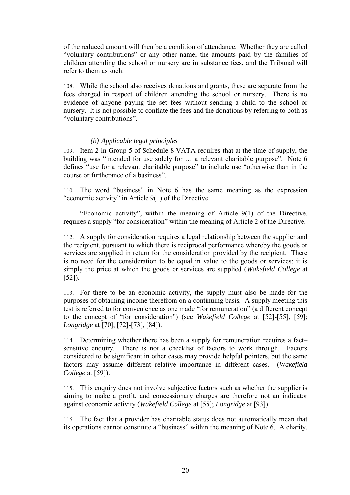of the reduced amount will then be a condition of attendance. Whether they are called "voluntary contributions" or any other name, the amounts paid by the families of children attending the school or nursery are in substance fees, and the Tribunal will refer to them as such.

108. While the school also receives donations and grants, these are separate from the fees charged in respect of children attending the school or nursery. There is no evidence of anyone paying the set fees without sending a child to the school or nursery. It is not possible to conflate the fees and the donations by referring to both as "voluntary contributions".

## *(b) Applicable legal principles*

109. Item 2 in Group 5 of Schedule 8 VATA requires that at the time of supply, the building was "intended for use solely for … a relevant charitable purpose". Note 6 defines "use for a relevant charitable purpose" to include use "otherwise than in the course or furtherance of a business".

110. The word "business" in Note 6 has the same meaning as the expression "economic activity" in Article 9(1) of the Directive.

111. "Economic activity", within the meaning of Article 9(1) of the Directive, requires a supply "for consideration" within the meaning of Article 2 of the Directive.

112. A supply for consideration requires a legal relationship between the supplier and the recipient, pursuant to which there is reciprocal performance whereby the goods or services are supplied in return for the consideration provided by the recipient. There is no need for the consideration to be equal in value to the goods or services: it is simply the price at which the goods or services are supplied (*Wakefield College* at [52]).

113. For there to be an economic activity, the supply must also be made for the purposes of obtaining income therefrom on a continuing basis. A supply meeting this test is referred to for convenience as one made "for remuneration" (a different concept to the concept of "for consideration") (see *Wakefield College* at [52]-[55], [59]; *Longridge* at [70], [72]-[73], [84]).

114. Determining whether there has been a supply for remuneration requires a fact– sensitive enquiry. There is not a checklist of factors to work through. Factors considered to be significant in other cases may provide helpful pointers, but the same factors may assume different relative importance in different cases. (*Wakefield College* at [59]).

115. This enquiry does not involve subjective factors such as whether the supplier is aiming to make a profit, and concessionary charges are therefore not an indicator against economic activity (*Wakefield College* at [55]; *Longridge* at [93]).

116. The fact that a provider has charitable status does not automatically mean that its operations cannot constitute a "business" within the meaning of Note 6. A charity,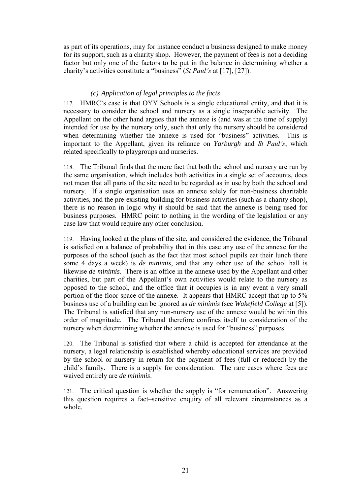as part of its operations, may for instance conduct a business designed to make money for its support, such as a charity shop. However, the payment of fees is not a deciding factor but only one of the factors to be put in the balance in determining whether a charity's activities constitute a "business" (*St Paul's* at [17], [27]).

## *(c) Application of legal principles to the facts*

117. HMRC's case is that OYY Schools is a single educational entity, and that it is necessary to consider the school and nursery as a single inseparable activity. The Appellant on the other hand argues that the annexe is (and was at the time of supply) intended for use by the nursery only, such that only the nursery should be considered when determining whether the annexe is used for "business" activities. This is important to the Appellant, given its reliance on *Yarburgh* and *St Paul's*, which related specifically to playgroups and nurseries.

118. The Tribunal finds that the mere fact that both the school and nursery are run by the same organisation, which includes both activities in a single set of accounts, does not mean that all parts of the site need to be regarded as in use by both the school and nursery. If a single organisation uses an annexe solely for non-business charitable activities, and the pre-existing building for business activities (such as a charity shop), there is no reason in logic why it should be said that the annexe is being used for business purposes. HMRC point to nothing in the wording of the legislation or any case law that would require any other conclusion.

119. Having looked at the plans of the site, and considered the evidence, the Tribunal is satisfied on a balance of probability that in this case any use of the annexe for the purposes of the school (such as the fact that most school pupils eat their lunch there some 4 days a week) is *de minimis*, and that any other use of the school hall is likewise *de minimis*. There is an office in the annexe used by the Appellant and other charities, but part of the Appellant's own activities would relate to the nursery as opposed to the school, and the office that it occupies is in any event a very small portion of the floor space of the annexe. It appears that HMRC accept that up to 5% business use of a building can be ignored as *de minimis* (see *Wakefield College* at [5]). The Tribunal is satisfied that any non-nursery use of the annexe would be within this order of magnitude. The Tribunal therefore confines itself to consideration of the nursery when determining whether the annexe is used for "business" purposes.

120. The Tribunal is satisfied that where a child is accepted for attendance at the nursery, a legal relationship is established whereby educational services are provided by the school or nursery in return for the payment of fees (full or reduced) by the child's family. There is a supply for consideration. The rare cases where fees are waived entirely are *de minimis*.

121. The critical question is whether the supply is "for remuneration". Answering this question requires a fact–sensitive enquiry of all relevant circumstances as a whole.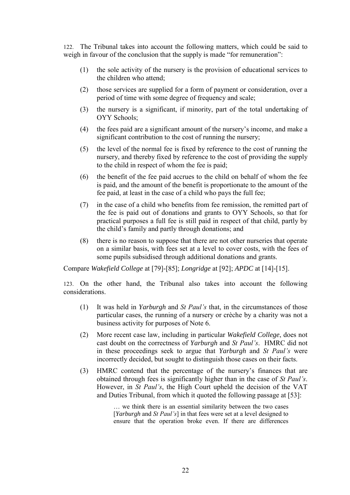122. The Tribunal takes into account the following matters, which could be said to weigh in favour of the conclusion that the supply is made "for remuneration":

- (1) the sole activity of the nursery is the provision of educational services to the children who attend;
- (2) those services are supplied for a form of payment or consideration, over a period of time with some degree of frequency and scale;
- (3) the nursery is a significant, if minority, part of the total undertaking of OYY Schools;
- (4) the fees paid are a significant amount of the nursery's income, and make a significant contribution to the cost of running the nursery;
- (5) the level of the normal fee is fixed by reference to the cost of running the nursery, and thereby fixed by reference to the cost of providing the supply to the child in respect of whom the fee is paid;
- (6) the benefit of the fee paid accrues to the child on behalf of whom the fee is paid, and the amount of the benefit is proportionate to the amount of the fee paid, at least in the case of a child who pays the full fee;
- (7) in the case of a child who benefits from fee remission, the remitted part of the fee is paid out of donations and grants to OYY Schools, so that for practical purposes a full fee is still paid in respect of that child, partly by the child's family and partly through donations; and
- (8) there is no reason to suppose that there are not other nurseries that operate on a similar basis, with fees set at a level to cover costs, with the fees of some pupils subsidised through additional donations and grants.

Compare *Wakefield College* at [79]-[85]; *Longridge* at [92]; *APDC* at [14]-[15].

123. On the other hand, the Tribunal also takes into account the following considerations.

- (1) It was held in *Yarburgh* and *St Paul's* that, in the circumstances of those particular cases, the running of a nursery or crèche by a charity was not a business activity for purposes of Note 6.
- (2) More recent case law, including in particular *Wakefield College*, does not cast doubt on the correctness of *Yarburgh* and *St Paul's*. HMRC did not in these proceedings seek to argue that *Yarburgh* and *St Paul's* were incorrectly decided, but sought to distinguish those cases on their facts.
- (3) HMRC contend that the percentage of the nursery's finances that are obtained through fees is significantly higher than in the case of *St Paul's*. However, in *St Paul's*, the High Court upheld the decision of the VAT and Duties Tribunal, from which it quoted the following passage at [53]:

… we think there is an essential similarity between the two cases [*Yarburgh* and *St Paul's*] in that fees were set at a level designed to ensure that the operation broke even. If there are differences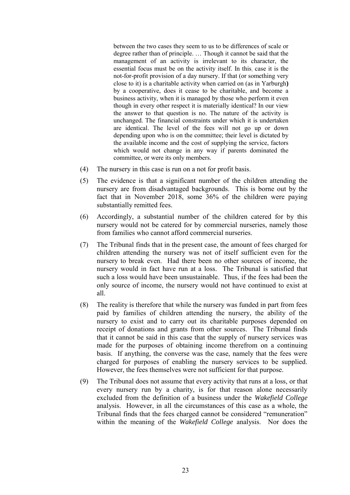between the two cases they seem to us to be differences of scale or degree rather than of principle. … Though it cannot be said that the management of an activity is irrelevant to its character, the essential focus must be on the activity itself. In this, case it is the not-for-profit provision of a day nursery. If that (or something very close to it) is a charitable activity when carried on (as in Yarburgh**)**  by a cooperative, does it cease to be charitable, and become a business activity, when it is managed by those who perform it even though in every other respect it is materially identical? In our view the answer to that question is no. The nature of the activity is unchanged. The financial constraints under which it is undertaken are identical. The level of the fees will not go up or down depending upon who is on the committee; their level is dictated by the available income and the cost of supplying the service, factors which would not change in any way if parents dominated the committee, or were its only members.

- (4) The nursery in this case is run on a not for profit basis.
- (5) The evidence is that a significant number of the children attending the nursery are from disadvantaged backgrounds. This is borne out by the fact that in November 2018, some 36% of the children were paying substantially remitted fees.
- (6) Accordingly, a substantial number of the children catered for by this nursery would not be catered for by commercial nurseries, namely those from families who cannot afford commercial nurseries.
- (7) The Tribunal finds that in the present case, the amount of fees charged for children attending the nursery was not of itself sufficient even for the nursery to break even. Had there been no other sources of income, the nursery would in fact have run at a loss. The Tribunal is satisfied that such a loss would have been unsustainable. Thus, if the fees had been the only source of income, the nursery would not have continued to exist at all.
- (8) The reality is therefore that while the nursery was funded in part from fees paid by families of children attending the nursery, the ability of the nursery to exist and to carry out its charitable purposes depended on receipt of donations and grants from other sources. The Tribunal finds that it cannot be said in this case that the supply of nursery services was made for the purposes of obtaining income therefrom on a continuing basis. If anything, the converse was the case, namely that the fees were charged for purposes of enabling the nursery services to be supplied. However, the fees themselves were not sufficient for that purpose.
- (9) The Tribunal does not assume that every activity that runs at a loss, or that every nursery run by a charity, is for that reason alone necessarily excluded from the definition of a business under the *Wakefield College* analysis. However, in all the circumstances of this case as a whole, the Tribunal finds that the fees charged cannot be considered "remuneration" within the meaning of the *Wakefield College* analysis. Nor does the